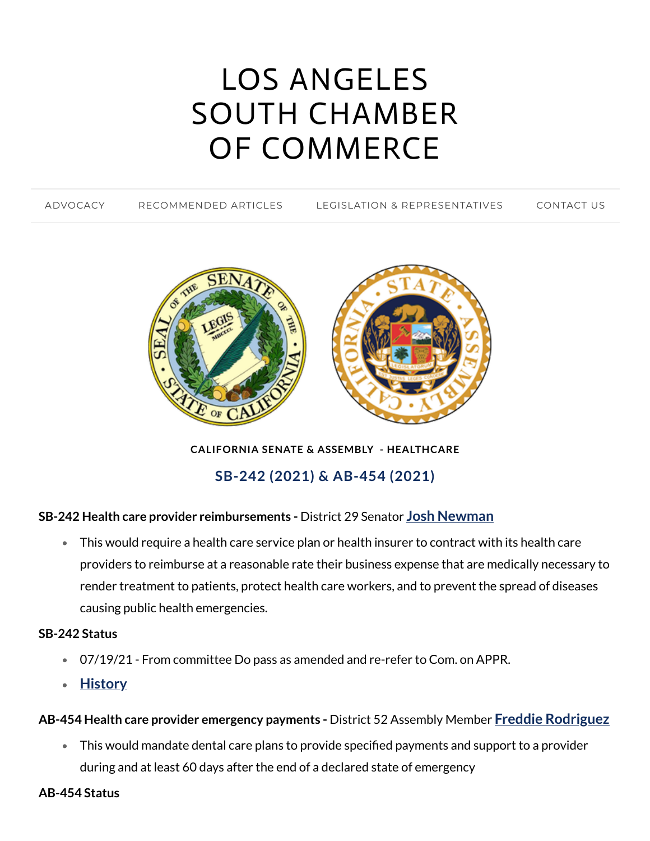# LOS ANGELES SOUTH CHAMBER OF [COMMERCE](https://www.lascc.us/)

[ADVOCACY](https://www.lascc.us/) [RECOMMENDED](https://www.lascc.us/recommended-articles.html) ARTICLES LEGISLATION & [REPRESENTATIVES](https://www.lascc.us/legislation--representatives.html) [CONTACT](https://www.lascc.us/contact-us.html) US



**CALIFORNIA SENATE & ASSEMBLY - HEALTHCARE**

**SB-242 (2021) & AB-454 (2021)**

## **SB-242 Health care provider reimbursements -** District 29 Senator **Josh [Newman](https://sd29.senate.ca.gov/)**

This would require a health care service plan or health insurer to contract with its health care  $\bullet$ providers to reimburse at a reasonable rate their business expense that are medically necessary to render treatment to patients, protect health care workers, and to prevent the spread of diseases causing public health emergencies.

#### **SB-242 Status**

- 07/19/21 From committee Do pass as amended and re-refer to Com. on APPR.
- **[History](https://leginfo.legislature.ca.gov/faces/billHistoryClient.xhtml?bill_id=202120220SB242)**

## **AB-454 Health care provider emergency payments -** District 52 Assembly Member **Freddie [Rodriguez](https://a52.asmdc.org/)**

- This would mandate dental care plans to provide specified payments and support to a provider during and at least 60 days after the end of a declared state of emergency
- **AB-454 Status**